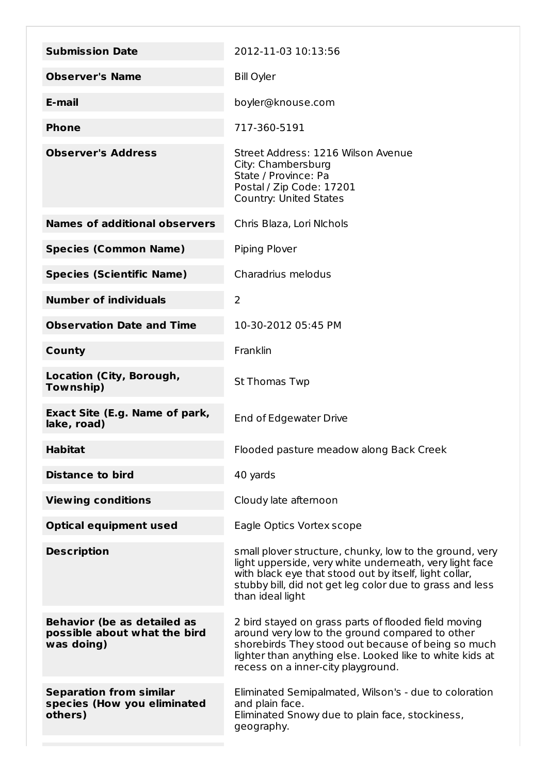| <b>Submission Date</b>                                                           | 2012-11-03 10:13:56                                                                                                                                                                                                                                             |
|----------------------------------------------------------------------------------|-----------------------------------------------------------------------------------------------------------------------------------------------------------------------------------------------------------------------------------------------------------------|
| <b>Observer's Name</b>                                                           | <b>Bill Oyler</b>                                                                                                                                                                                                                                               |
| E-mail                                                                           | boyler@knouse.com                                                                                                                                                                                                                                               |
| <b>Phone</b>                                                                     | 717-360-5191                                                                                                                                                                                                                                                    |
| <b>Observer's Address</b>                                                        | Street Address: 1216 Wilson Avenue<br>City: Chambersburg<br>State / Province: Pa<br>Postal / Zip Code: 17201<br><b>Country: United States</b>                                                                                                                   |
| <b>Names of additional observers</b>                                             | Chris Blaza, Lori Nichols                                                                                                                                                                                                                                       |
| <b>Species (Common Name)</b>                                                     | Piping Plover                                                                                                                                                                                                                                                   |
| <b>Species (Scientific Name)</b>                                                 | Charadrius melodus                                                                                                                                                                                                                                              |
| <b>Number of individuals</b>                                                     | $\overline{2}$                                                                                                                                                                                                                                                  |
| <b>Observation Date and Time</b>                                                 | 10-30-2012 05:45 PM                                                                                                                                                                                                                                             |
| <b>County</b>                                                                    | Franklin                                                                                                                                                                                                                                                        |
| Location (City, Borough,<br>Township)                                            | <b>St Thomas Twp</b>                                                                                                                                                                                                                                            |
| Exact Site (E.g. Name of park,<br>lake, road)                                    | End of Edgewater Drive                                                                                                                                                                                                                                          |
| <b>Habitat</b>                                                                   | Flooded pasture meadow along Back Creek                                                                                                                                                                                                                         |
| <b>Distance to bird</b>                                                          | 40 yards                                                                                                                                                                                                                                                        |
| <b>Viewing conditions</b>                                                        | Cloudy late afternoon                                                                                                                                                                                                                                           |
| <b>Optical equipment used</b>                                                    | Eagle Optics Vortex scope                                                                                                                                                                                                                                       |
| <b>Description</b>                                                               | small plover structure, chunky, low to the ground, very<br>light upperside, very white underneath, very light face<br>with black eye that stood out by itself, light collar,<br>stubby bill, did not get leg color due to grass and less<br>than ideal light    |
| <b>Behavior (be as detailed as</b><br>possible about what the bird<br>was doing) | 2 bird stayed on grass parts of flooded field moving<br>around very low to the ground compared to other<br>shorebirds They stood out because of being so much<br>lighter than anything else. Looked like to white kids at<br>recess on a inner-city playground. |
| <b>Separation from similar</b><br>species (How you eliminated<br>others)         | Eliminated Semipalmated, Wilson's - due to coloration<br>and plain face.<br>Eliminated Snowy due to plain face, stockiness,<br>geography.                                                                                                                       |